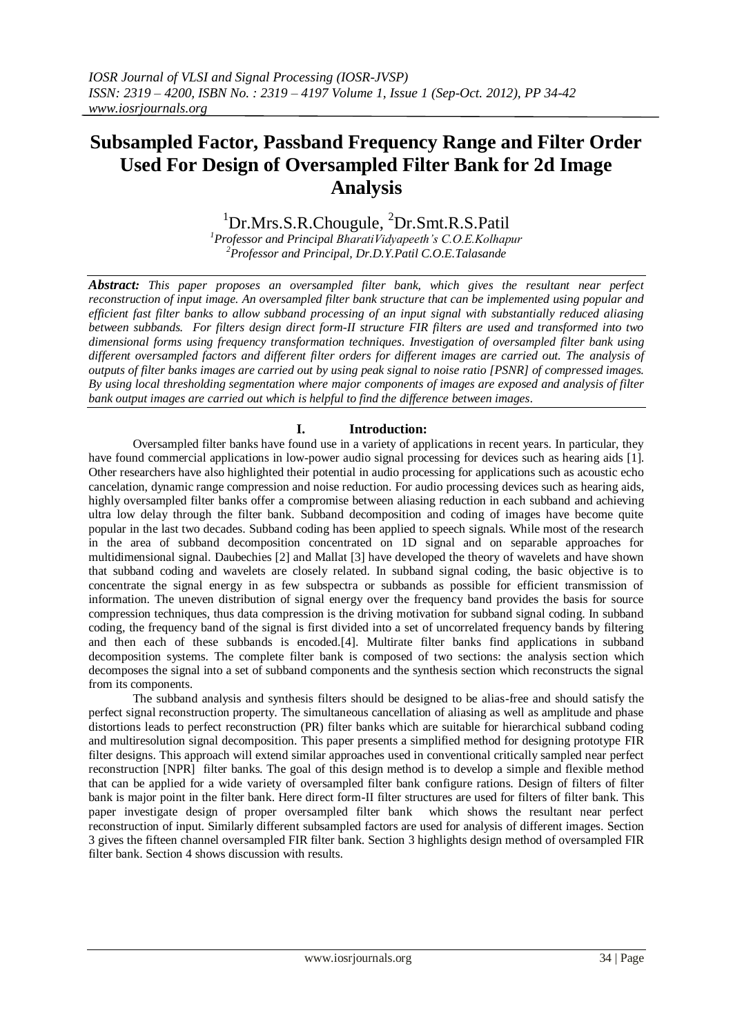# **Subsampled Factor, Passband Frequency Range and Filter Order Used For Design of Oversampled Filter Bank for 2d Image Analysis**

<sup>1</sup>Dr.Mrs.S.R.Chougule, <sup>2</sup>Dr.Smt.R.S.Patil

*<sup>1</sup>Professor and Principal BharatiVidyapeeth's C.O.E.Kolhapur <sup>2</sup>Professor and Principal, Dr.D.Y.Patil C.O.E.Talasande*

*Abstract: This paper proposes an oversampled filter bank, which gives the resultant near perfect reconstruction of input image. An oversampled filter bank structure that can be implemented using popular and efficient fast filter banks to allow subband processing of an input signal with substantially reduced aliasing between subbands. For filters design direct form-II structure FIR filters are used and transformed into two dimensional forms using frequency transformation techniques. Investigation of oversampled filter bank using different oversampled factors and different filter orders for different images are carried out. The analysis of outputs of filter banks images are carried out by using peak signal to noise ratio [PSNR] of compressed images. By using local thresholding segmentation where major components of images are exposed and analysis of filter bank output images are carried out which is helpful to find the difference between images.* 

## **I. Introduction:**

Oversampled filter banks have found use in a variety of applications in recent years. In particular, they have found commercial applications in low-power audio signal processing for devices such as hearing aids [1]. Other researchers have also highlighted their potential in audio processing for applications such as acoustic echo cancelation, dynamic range compression and noise reduction. For audio processing devices such as hearing aids, highly oversampled filter banks offer a compromise between aliasing reduction in each subband and achieving ultra low delay through the filter bank. Subband decomposition and coding of images have become quite popular in the last two decades. Subband coding has been applied to speech signals. While most of the research in the area of subband decomposition concentrated on 1D signal and on separable approaches for multidimensional signal. Daubechies [2] and Mallat [3] have developed the theory of wavelets and have shown that subband coding and wavelets are closely related. In subband signal coding, the basic objective is to concentrate the signal energy in as few subspectra or subbands as possible for efficient transmission of information. The uneven distribution of signal energy over the frequency band provides the basis for source compression techniques, thus data compression is the driving motivation for subband signal coding. In subband coding, the frequency band of the signal is first divided into a set of uncorrelated frequency bands by filtering and then each of these subbands is encoded.[4]. Multirate filter banks find applications in subband decomposition systems. The complete filter bank is composed of two sections: the analysis section which decomposes the signal into a set of subband components and the synthesis section which reconstructs the signal from its components.

The subband analysis and synthesis filters should be designed to be alias-free and should satisfy the perfect signal reconstruction property. The simultaneous cancellation of aliasing as well as amplitude and phase distortions leads to perfect reconstruction (PR) filter banks which are suitable for hierarchical subband coding and multiresolution signal decomposition. This paper presents a simplified method for designing prototype FIR filter designs. This approach will extend similar approaches used in conventional critically sampled near perfect reconstruction [NPR] filter banks. The goal of this design method is to develop a simple and flexible method that can be applied for a wide variety of oversampled filter bank configure rations. Design of filters of filter bank is major point in the filter bank. Here direct form-II filter structures are used for filters of filter bank. This paper investigate design of proper oversampled filter bank which shows the resultant near perfect reconstruction of input. Similarly different subsampled factors are used for analysis of different images. Section 3 gives the fifteen channel oversampled FIR filter bank. Section 3 highlights design method of oversampled FIR filter bank. Section 4 shows discussion with results.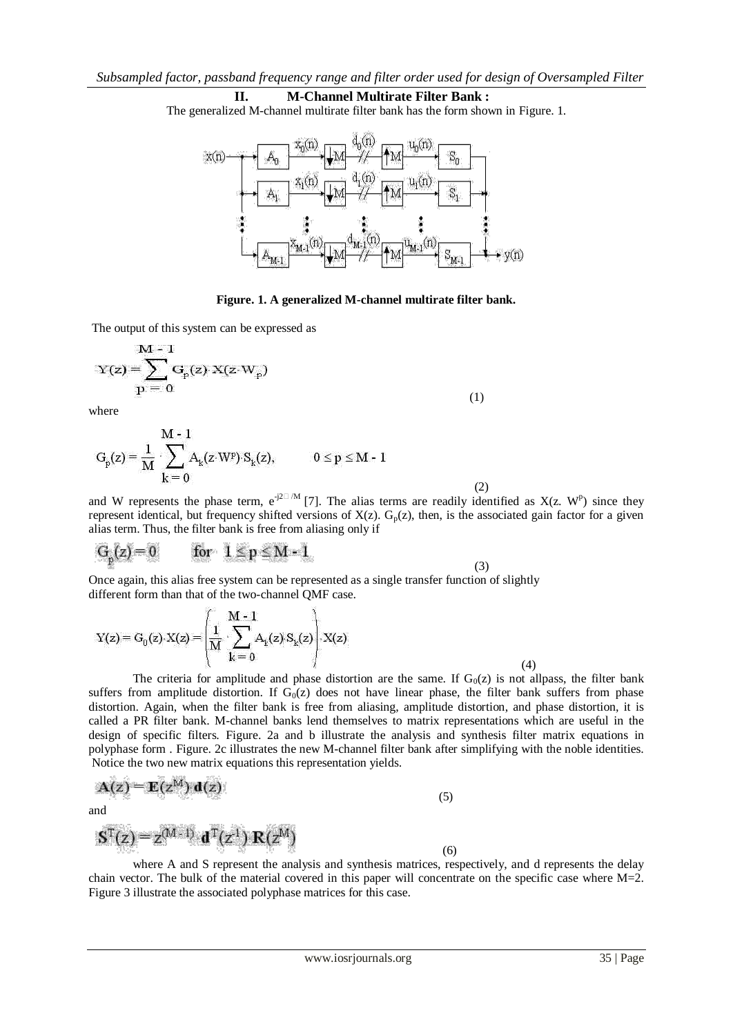#### **II. M-Channel Multirate Filter Bank :**

The generalized M-channel multirate filter bank has the form shown in Figure. 1.



**Figure. 1. A generalized M-channel multirate filter bank.**

The output of this system can be expressed as

$$
Y(z) = \sum_{p=0}^{M-1} G_p(z) \cdot X(z \cdot W_p)
$$
\n(1)

where

$$
G_p(z)=\frac{1}{M}\cdot \sum_{k=0}^{M-1}A_k(z\cdot W^p)\cdot S_k(z),\hspace{1cm} 0\leq p\leq M-1 \hspace{0.5cm} (2)
$$

and W represents the phase term,  $e^{-j2\pi/M}$  [7]. The alias terms are readily identified as  $X(z, W^p)$  since they represent identical, but frequency shifted versions of  $X(z)$ .  $G_p(z)$ , then, is the associated gain factor for a given alias term. Thus, the filter bank is free from aliasing only if

$$
G_p(z) = 0 \qquad \text{for} \quad 1 \le p \le M - 1
$$

ser.

(3)

Once again, this alias free system can be represented as a single transfer function of slightly different form than that of the two-channel QMF case.

$$
Y(z) = G_0(z) \cdot X(z) = \left(\frac{1}{M} \cdot \sum_{k=0}^{M-1} A_k(z) \cdot S_k(z)\right) \cdot X(z)
$$
\n(4)

The criteria for amplitude and phase distortion are the same. If  $G_0(z)$  is not allpass, the filter bank suffers from amplitude distortion. If  $G<sub>0</sub>(z)$  does not have linear phase, the filter bank suffers from phase distortion. Again, when the filter bank is free from aliasing, amplitude distortion, and phase distortion, it is called a PR filter bank. M-channel banks lend themselves to matrix representations which are useful in the design of specific filters. Figure. 2a and b illustrate the analysis and synthesis filter matrix equations in polyphase form . Figure. 2c illustrates the new M-channel filter bank after simplifying with the noble identities. Notice the two new matrix equations this representation yields.

$$
\mathbf{A}(z) = \mathbf{E}(z^{\mathsf{M}}) \, \mathbf{d}(z) \tag{5}
$$

and

$$
\mathbf{S}^{\mathrm{T}}(z) = z^{(M-1)} \cdot \mathbf{d}^{\mathrm{T}}(z^{1}) \cdot \mathbf{R}(z^{M})
$$
\n(6)

where A and S represent the analysis and synthesis matrices, respectively, and d represents the delay chain vector. The bulk of the material covered in this paper will concentrate on the specific case where  $M=2$ . Figure 3 illustrate the associated polyphase matrices for this case.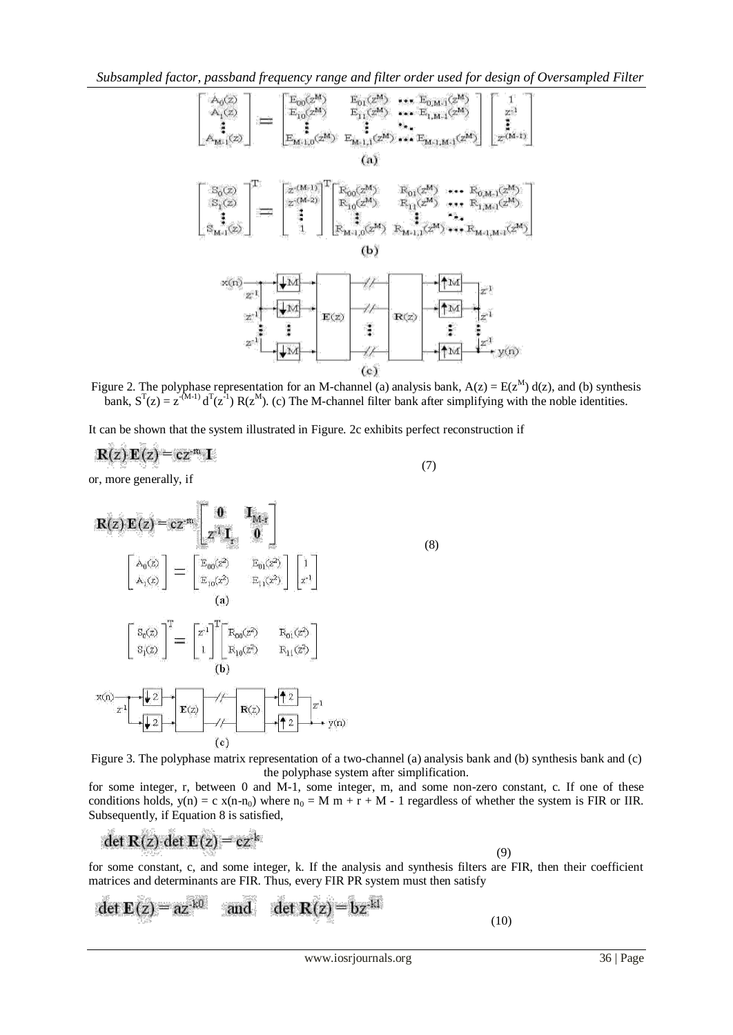

Figure 2. The polyphase representation for an M-channel (a) analysis bank,  $A(z) = E(z^M) d(z)$ , and (b) synthesis bank,  $S^{T}(z) = z^{-(M-1)} d^{T}(z^{-1}) R(z^{M})$ . (c) The M-channel filter bank after simplifying with the noble identities.

It can be shown that the system illustrated in Figure. 2c exhibits perfect reconstruction if

$$
\mathbf{R}(z)\cdot\mathbf{E}(z) = cz^{-m}\cdot\mathbf{I}
$$
 (7)

or, more generally, if

$$
\mathbf{R}(z) \cdot \mathbf{E}(z) = cz^{-m} \cdot \begin{bmatrix} 0 & \mathbf{I}_{M-r} \\ z^{-1} \cdot \mathbf{I}_{r} & 0 \end{bmatrix}
$$
\n
$$
\begin{bmatrix} A_{0}(z) \\ A_{1}(z) \end{bmatrix} = \begin{bmatrix} E_{00}(z^{2}) & E_{01}(z^{2}) \\ E_{10}(z^{2}) & E_{11}(z^{2}) \end{bmatrix} \begin{bmatrix} 1 \\ z^{-1} \end{bmatrix}
$$
\n
$$
\begin{bmatrix} S_{0}(z) \\ S_{1}(z) \end{bmatrix}^{T} = \begin{bmatrix} z^{-1} \\ 1 \end{bmatrix}^{T} \begin{bmatrix} R_{00}(z^{2}) & R_{01}(z^{2}) \\ R_{10}(z^{2}) & R_{11}(z^{2}) \end{bmatrix}
$$
\n
$$
X(n) \begin{bmatrix} \sqrt{z} \\ z^{-1} \end{bmatrix} \begin{bmatrix} \sqrt{z} \\ \sqrt{z} \end{bmatrix} \begin{bmatrix} E(z) \\ E(z) \end{bmatrix} \begin{bmatrix} \sqrt{z} \\ E(z) \\ E(z) \end{bmatrix} \begin{bmatrix} \sqrt{z} \\ \sqrt{z} \end{bmatrix} \begin{bmatrix} \sqrt{z} \\ E(z) \\ E(z) \end{bmatrix} \begin{bmatrix} \sqrt{z} \\ E(z) \\ E(z) \end{bmatrix} \begin{bmatrix} \sqrt{z} \\ \sqrt{z} \end{bmatrix} \begin{bmatrix} \sqrt{z} \\ \sqrt{z} \\ \sqrt{z} \end{bmatrix} \begin{bmatrix} \sqrt{z} \\ E(z) \\ E(z) \end{bmatrix} \begin{bmatrix} \sqrt{z} \\ \sqrt{z} \\ \sqrt{z} \end{bmatrix} \begin{bmatrix} \sqrt{z} \\ \sqrt{z} \\ \sqrt{z} \end{bmatrix} \begin{bmatrix} \sqrt{z} \\ \sqrt{z} \\ \sqrt{z} \end{bmatrix} \begin{bmatrix} \sqrt{z} \\ \sqrt{z} \\ \sqrt{z} \end{bmatrix}
$$
\n
$$
(c)
$$
\n(8)

Figure 3. The polyphase matrix representation of a two-channel (a) analysis bank and (b) synthesis bank and (c) the polyphase system after simplification.

for some integer, r, between 0 and M-1, some integer, m, and some non-zero constant, c. If one of these conditions holds,  $y(n) = c x(n-n_0)$  where  $n_0 = M m + r + M - 1$  regardless of whether the system is FIR or IIR. Subsequently, if Equation 8 is satisfied,

$$
\det \mathbf{R}(z) \cdot \det \mathbf{E}(z) = cz^{-k}
$$

 $\sqrt{2}$  (9) for some constant, c, and some integer, k. If the analysis and synthesis filters are FIR, then their coefficient matrices and determinants are FIR. Thus, every FIR PR system must then satisfy

$$
\det \mathbf{E}(z) = az^{-k0} \quad \text{and} \quad \det \mathbf{R}(z) = bz^{-k1}
$$
 (10)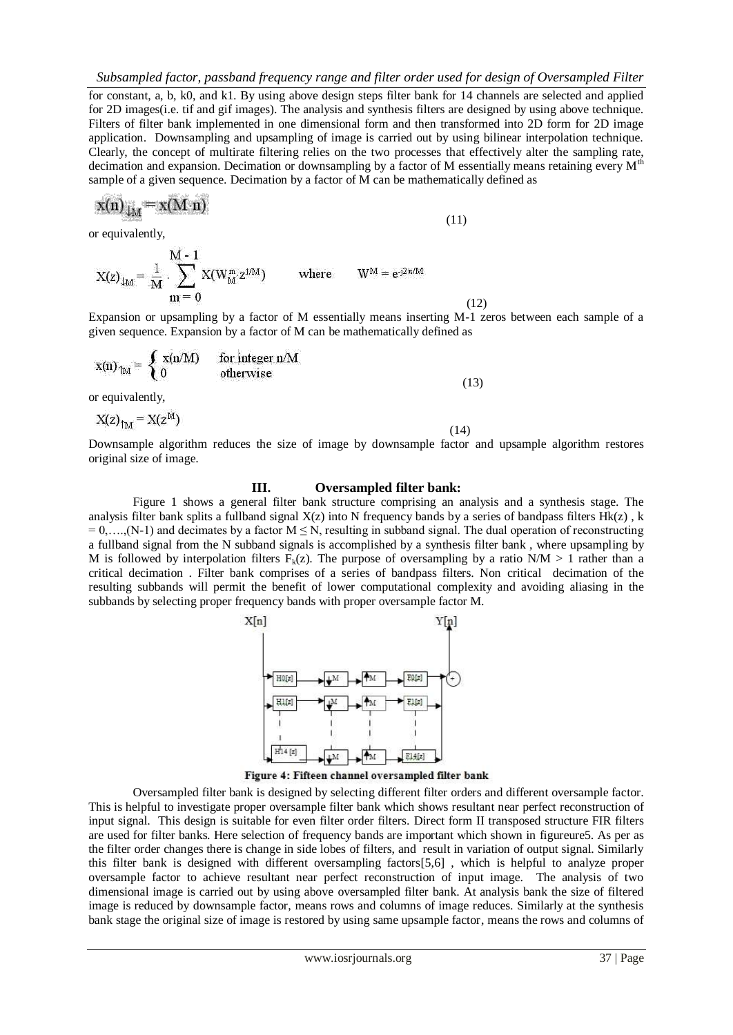for constant, a, b, k0, and k1. By using above design steps filter bank for 14 channels are selected and applied for 2D images(i.e. tif and gif images). The analysis and synthesis filters are designed by using above technique. Filters of filter bank implemented in one dimensional form and then transformed into 2D form for 2D image application. Downsampling and upsampling of image is carried out by using bilinear interpolation technique. Clearly, the concept of multirate filtering relies on the two processes that effectively alter the sampling rate, decimation and expansion. Decimation or downsampling by a factor of M essentially means retaining every M<sup>th</sup> sample of a given sequence. Decimation by a factor of M can be mathematically defined as

$$
x(n)_{\downarrow M} = x(M \cdot n)
$$

(11)

(12)

or equivalently,

$$
X(z)_{\downarrow M} = \frac{1}{M} \cdot \sum_{m=0}^{M-1} X(W_{M}^{m} z^{1/M}) \quad \text{where} \quad W^{M} = e^{j2\pi/M}
$$

Expansion or upsampling by a factor of M essentially means inserting M-1 zeros between each sample of a given sequence. Expansion by a factor of M can be mathematically defined as

$$
x(n)_{TM} = \begin{cases} x(n/M) & \text{for integer } n/M \\ 0 & \text{otherwise} \end{cases}
$$
 (13)

or equivalently,

$$
X(z)_{\text{TM}} = X(z^{\text{M}})
$$
\n(14)

Downsample algorithm reduces the size of image by downsample factor and upsample algorithm restores original size of image.

## **III. Oversampled filter bank:**

Figure 1 shows a general filter bank structure comprising an analysis and a synthesis stage. The analysis filter bank splits a fullband signal  $X(z)$  into N frequency bands by a series of bandpass filters  $Hk(z)$ , k  $= 0, \ldots, (N-1)$  and decimates by a factor  $M \le N$ , resulting in subband signal. The dual operation of reconstructing a fullband signal from the N subband signals is accomplished by a synthesis filter bank , where upsampling by M is followed by interpolation filters  $F_k(z)$ . The purpose of oversampling by a ratio N/M > 1 rather than a critical decimation . Filter bank comprises of a series of bandpass filters. Non critical decimation of the resulting subbands will permit the benefit of lower computational complexity and avoiding aliasing in the subbands by selecting proper frequency bands with proper oversample factor M.



Figure 4: Fifteen channel oversampled filter bank

Oversampled filter bank is designed by selecting different filter orders and different oversample factor. This is helpful to investigate proper oversample filter bank which shows resultant near perfect reconstruction of input signal. This design is suitable for even filter order filters. Direct form II transposed structure FIR filters are used for filter banks. Here selection of frequency bands are important which shown in figureure5. As per as the filter order changes there is change in side lobes of filters, and result in variation of output signal. Similarly this filter bank is designed with different oversampling factors[5,6] , which is helpful to analyze proper oversample factor to achieve resultant near perfect reconstruction of input image. The analysis of two dimensional image is carried out by using above oversampled filter bank. At analysis bank the size of filtered image is reduced by downsample factor, means rows and columns of image reduces. Similarly at the synthesis bank stage the original size of image is restored by using same upsample factor, means the rows and columns of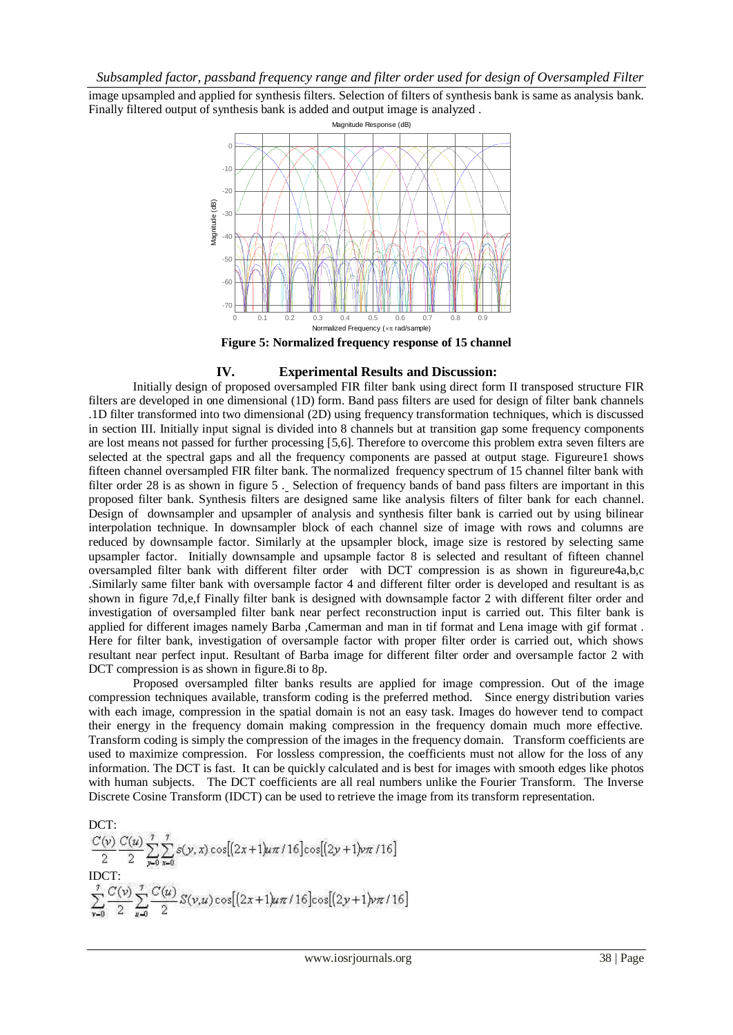image upsampled and applied for synthesis filters. Selection of filters of synthesis bank is same as analysis bank. Finally filtered output of synthesis bank is added and output image is analyzed .



**Figure 5: Normalized frequency response of 15 channel**

#### **IV. Experimental Results and Discussion:**

Initially design of proposed oversampled FIR filter bank using direct form II transposed structure FIR filters are developed in one dimensional (1D) form. Band pass filters are used for design of filter bank channels .1D filter transformed into two dimensional (2D) using frequency transformation techniques, which is discussed in section III. Initially input signal is divided into 8 channels but at transition gap some frequency components are lost means not passed for further processing [5,6]. Therefore to overcome this problem extra seven filters are selected at the spectral gaps and all the frequency components are passed at output stage. Figureure1 shows fifteen channel oversampled FIR filter bank. The normalized frequency spectrum of 15 channel filter bank with filter order 28 is as shown in figure 5 . Selection of frequency bands of band pass filters are important in this proposed filter bank. Synthesis filters are designed same like analysis filters of filter bank for each channel. Design of downsampler and upsampler of analysis and synthesis filter bank is carried out by using bilinear interpolation technique. In downsampler block of each channel size of image with rows and columns are reduced by downsample factor. Similarly at the upsampler block, image size is restored by selecting same upsampler factor. Initially downsample and upsample factor 8 is selected and resultant of fifteen channel oversampled filter bank with different filter order with DCT compression is as shown in figureure4a,b,c .Similarly same filter bank with oversample factor 4 and different filter order is developed and resultant is as shown in figure 7d,e,f Finally filter bank is designed with downsample factor 2 with different filter order and investigation of oversampled filter bank near perfect reconstruction input is carried out. This filter bank is applied for different images namely Barba ,Camerman and man in tif format and Lena image with gif format . Here for filter bank, investigation of oversample factor with proper filter order is carried out, which shows resultant near perfect input. Resultant of Barba image for different filter order and oversample factor 2 with DCT compression is as shown in figure.8i to 8p.

Proposed oversampled filter banks results are applied for image compression. Out of the image compression techniques available, transform coding is the preferred method. Since energy distribution varies with each image, compression in the spatial domain is not an easy task. Images do however tend to compact their energy in the frequency domain making compression in the frequency domain much more effective. Transform coding is simply the compression of the images in the frequency domain. Transform coefficients are used to maximize compression. For lossless compression, the coefficients must not allow for the loss of any information. The DCT is fast. It can be quickly calculated and is best for images with smooth edges like photos with human subjects. The DCT coefficients are all real numbers unlike the Fourier Transform. The Inverse Discrete Cosine Transform (IDCT) can be used to retrieve the image from its transform representation.

DCT:  $\frac{C(\nu)}{2} \frac{C(u)}{2} \sum_{y=0}^{7} \sum_{x=0}^{7} s(y,x) \cos[(2x+1)u\pi/16] \cos[(2y+1)u\pi/16]$ <br>IDCT:<br> $\sum_{x=0}^{7} \frac{C(v)}{2} \sum_{y=0}^{7} \frac{C(u)}{2} S(v,u) \cos[(2x+1)u\pi/16] \cos[(2y+1)u\pi/16]$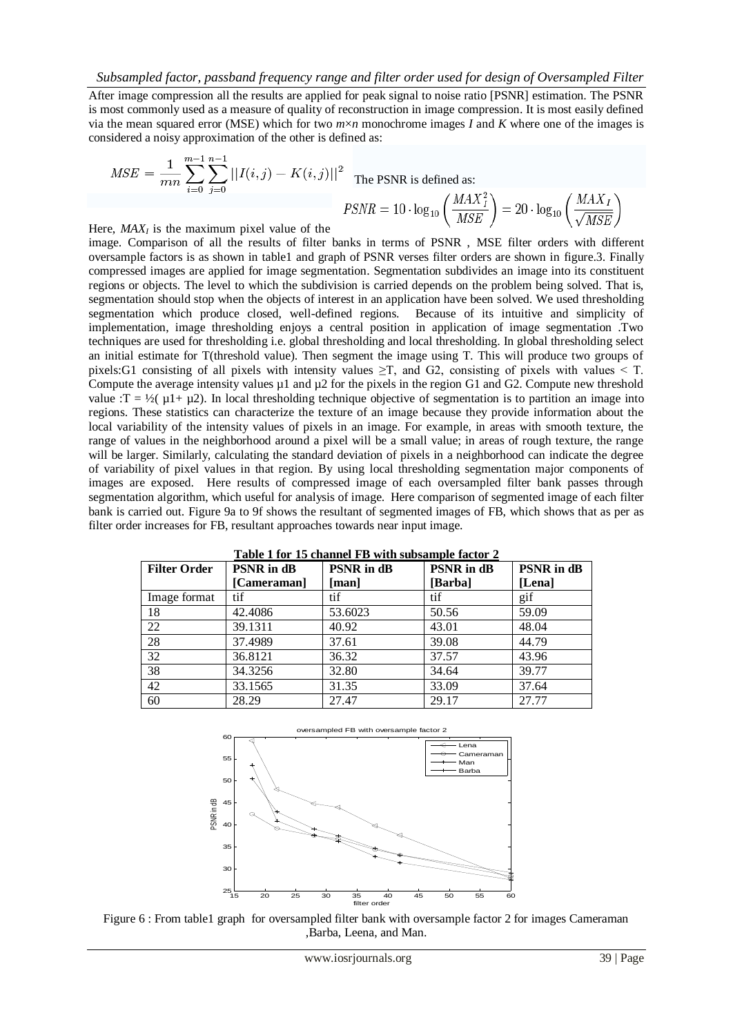After image compression all the results are applied for peak signal to noise ratio [PSNR] estimation. The PSNR is most commonly used as a measure of quality of reconstruction in image compression. It is most easily defined via the mean squared error (MSE) which for two *m*×*n* monochrome images *I* and *K* where one of the images is considered a noisy approximation of the other is defined as:

$$
MSE = \frac{1}{mn} \sum_{i=0}^{m-1} \sum_{j=0}^{n-1} ||I(i,j) - K(i,j)||^2
$$
  
The PSNR is defined as:  

$$
PSNR = 10 \cdot \log_{10} \left( \frac{MAX_I^2}{MSE} \right) = 20 \cdot \log_{10} \left( \frac{MAX_I}{\sqrt{MSE}} \right)
$$

Here,  $MAX_I$  is the maximum pixel value of the

image. Comparison of all the results of filter banks in terms of PSNR , MSE filter orders with different oversample factors is as shown in table1 and graph of PSNR verses filter orders are shown in figure.3. Finally compressed images are applied for image segmentation. Segmentation subdivides an image into its constituent regions or objects. The level to which the subdivision is carried depends on the problem being solved. That is, segmentation should stop when the objects of interest in an application have been solved. We used thresholding segmentation which produce closed, well-defined regions. Because of its intuitive and simplicity of implementation, image thresholding enjoys a central position in application of image segmentation .Two techniques are used for thresholding i.e. global thresholding and local thresholding. In global thresholding select an initial estimate for T(threshold value). Then segment the image using T. This will produce two groups of pixels:G1 consisting of all pixels with intensity values  $\geq$ T, and G2, consisting of pixels with values < T. Compute the average intensity values  $\mu$ 1 and  $\mu$ 2 for the pixels in the region G1 and G2. Compute new threshold value :T =  $\frac{1}{2}(\mu + \mu^2)$ . In local thresholding technique objective of segmentation is to partition an image into regions. These statistics can characterize the texture of an image because they provide information about the local variability of the intensity values of pixels in an image. For example, in areas with smooth texture, the range of values in the neighborhood around a pixel will be a small value; in areas of rough texture, the range will be larger. Similarly, calculating the standard deviation of pixels in a neighborhood can indicate the degree of variability of pixel values in that region. By using local thresholding segmentation major components of images are exposed. Here results of compressed image of each oversampled filter bank passes through segmentation algorithm, which useful for analysis of image. Here comparison of segmented image of each filter bank is carried out. Figure 9a to 9f shows the resultant of segmented images of FB, which shows that as per as filter order increases for FB, resultant approaches towards near input image.

| Tubic I for To channel ID with substitute fuctor 2 |                   |                   |                   |                   |
|----------------------------------------------------|-------------------|-------------------|-------------------|-------------------|
| <b>Filter Order</b>                                | <b>PSNR</b> in dB | <b>PSNR</b> in dB | <b>PSNR</b> in dB | <b>PSNR</b> in dB |
|                                                    | [Cameraman]       | [man]             | [Barba]           | [Lena]            |
| Image format                                       | tif               | tif               | tif               | gif               |
| 18                                                 | 42.4086           | 53.6023           | 50.56             | 59.09             |
| 22                                                 | 39.1311           | 40.92             | 43.01             | 48.04             |
| 28                                                 | 37.4989           | 37.61             | 39.08             | 44.79             |
| 32                                                 | 36.8121           | 36.32             | 37.57             | 43.96             |
| 38                                                 | 34.3256           | 32.80             | 34.64             | 39.77             |
| 42                                                 | 33.1565           | 31.35             | 33.09             | 37.64             |
| 60                                                 | 28.29             | 27.47             | 29.17             | 27.77             |

**Table 1 for 15 channel FB with subsample factor 2**



Figure 6 : From table1 graph for oversampled filter bank with oversample factor 2 for images Cameraman ,Barba, Leena, and Man.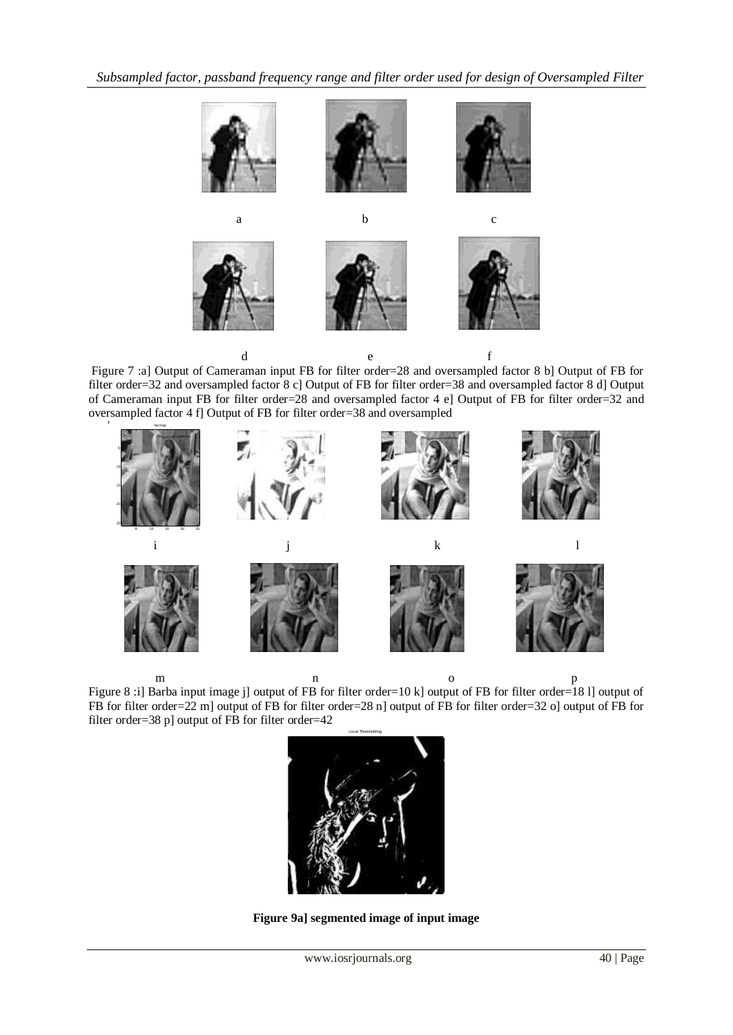*Subsampled factor, passband frequency range and filter order used for design of Oversampled Filter* 



Figure 7 :a] Output of Cameraman input FB for filter order=28 and oversampled factor 8 b] Output of FB for filter order=32 and oversampled factor 8 c] Output of FB for filter order=38 and oversampled factor 8 d] Output of Cameraman input FB for filter order=28 and oversampled factor 4 e] Output of FB for filter order=32 and oversampled factor 4 f] Output of FB for filter order=38 and oversampled



m n o p Figure 8 :i] Barba input image j] output of FB for filter order=10 k] output of FB for filter order=18 l] output of FB for filter order=22 m] output of FB for filter order=28 n] output of FB for filter order=32 o] output of FB for filter order=38 p] output of FB for filter order=42



**Figure 9a] segmented image of input image**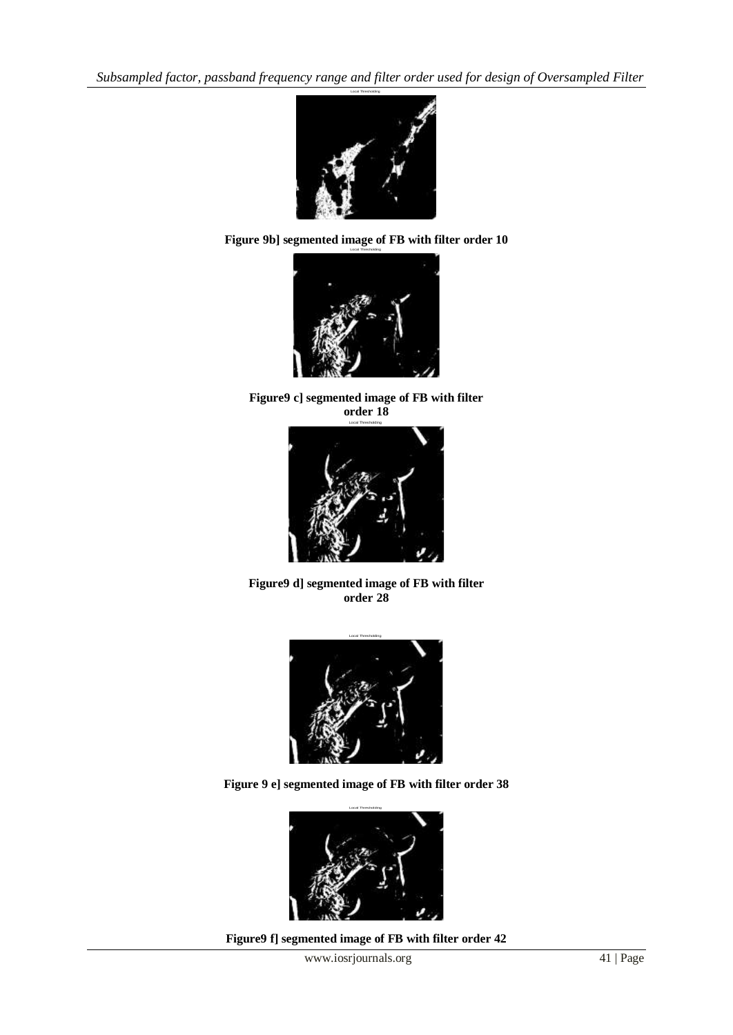*Subsampled factor, passband frequency range and filter order used for design of Oversampled Filter* 







**Figure9 c] segmented image of FB with filter order 18**



**Figure9 d] segmented image of FB with filter order 28**



**Figure 9 e] segmented image of FB with filter order 38**



**Figure9 f] segmented image of FB with filter order 42**